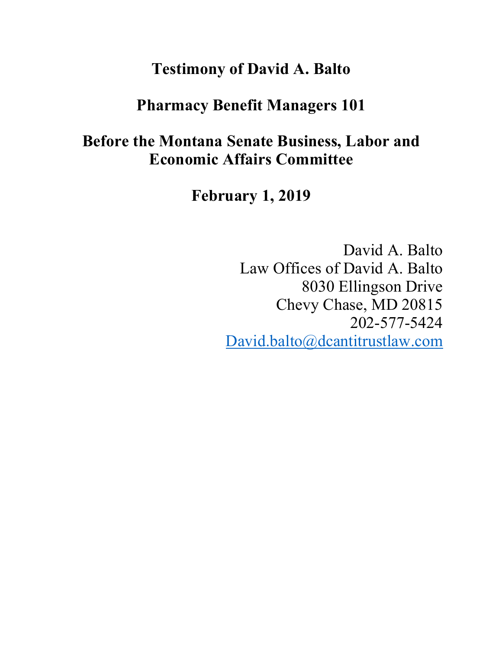# **Testimony of David A. Balto**

# **Pharmacy Benefit Managers 101**

# **Before the Montana Senate Business, Labor and Economic Affairs Committee**

**February 1, 2019**

David A. Balto Law Offices of David A. Balto 8030 Ellingson Drive Chevy Chase, MD 20815 202-577-5424 David.balto@dcantitrustlaw.com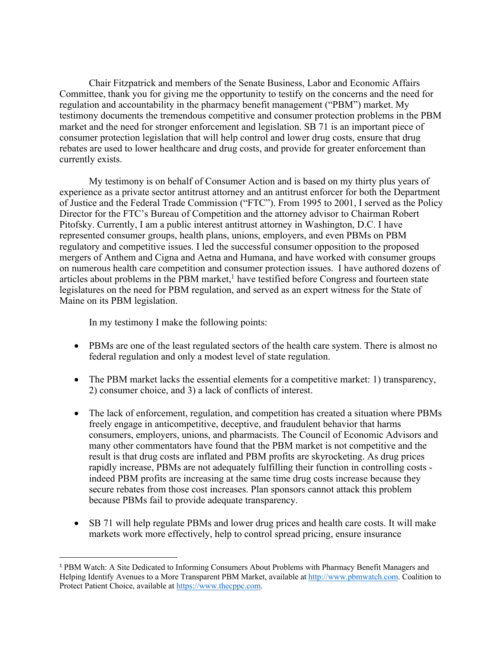Chair Fitzpatrick and members of the Senate Business, Labor and Economic Affairs Committee, thank you for giving me the opportunity to testify on the concerns and the need for regulation and accountability in the pharmacy benefit management ("PBM") market. My testimony documents the tremendous competitive and consumer protection problems in the PBM market and the need for stronger enforcement and legislation. SB 71 is an important piece of consumer protection legislation that will help control and lower drug costs, ensure that drug rebates are used to lower healthcare and drug costs, and provide for greater enforcement than currently exists.

My testimony is on behalf of Consumer Action and is based on my thirty plus years of experience as a private sector antitrust attorney and an antitrust enforcer for both the Department of Justice and the Federal Trade Commission ("FTC"). From 1995 to 2001, I served as the Policy Director for the FTC's Bureau of Competition and the attorney advisor to Chairman Robert Pitofsky. Currently, I am a public interest antitrust attorney in Washington, D.C. I have represented consumer groups, health plans, unions, employers, and even PBMs on PBM regulatory and competitive issues. I led the successful consumer opposition to the proposed mergers of Anthem and Cigna and Aetna and Humana, and have worked with consumer groups on numerous health care competition and consumer protection issues. I have authored dozens of articles about problems in the PBM market,<sup>1</sup> have testified before Congress and fourteen state legislatures on the need for PBM regulation, and served as an expert witness for the State of Maine on its PBM legislation.

In my testimony I make the following points:

- PBMs are one of the least regulated sectors of the health care system. There is almost no federal regulation and only a modest level of state regulation.
- The PBM market lacks the essential elements for a competitive market: 1) transparency, 2) consumer choice, and 3) a lack of conflicts of interest.
- The lack of enforcement, regulation, and competition has created a situation where PBMs freely engage in anticompetitive, deceptive, and fraudulent behavior that harms consumers, employers, unions, and pharmacists. The Council of Economic Advisors and many other commentators have found that the PBM market is not competitive and the result is that drug costs are inflated and PBM profits are skyrocketing. As drug prices rapidly increase, PBMs are not adequately fulfilling their function in controlling costs indeed PBM profits are increasing at the same time drug costs increase because they secure rebates from those cost increases. Plan sponsors cannot attack this problem because PBMs fail to provide adequate transparency.
- SB 71 will help regulate PBMs and lower drug prices and health care costs. It will make markets work more effectively, help to control spread pricing, ensure insurance

<sup>&</sup>lt;sup>1</sup> PBM Watch: A Site Dedicated to Informing Consumers About Problems with Pharmacy Benefit Managers and Helping Identify Avenues to a More Transparent PBM Market, available at http://www.pbmwatch.com. Coalition to Protect Patient Choice, available at https://www.thecppc.com.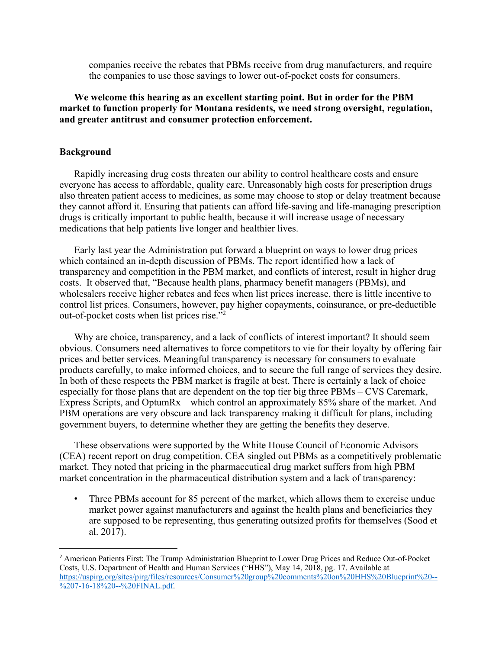companies receive the rebates that PBMs receive from drug manufacturers, and require the companies to use those savings to lower out-of-pocket costs for consumers.

## **We welcome this hearing as an excellent starting point. But in order for the PBM market to function properly for Montana residents, we need strong oversight, regulation, and greater antitrust and consumer protection enforcement.**

#### **Background**

Rapidly increasing drug costs threaten our ability to control healthcare costs and ensure everyone has access to affordable, quality care. Unreasonably high costs for prescription drugs also threaten patient access to medicines, as some may choose to stop or delay treatment because they cannot afford it. Ensuring that patients can afford life-saving and life-managing prescription drugs is critically important to public health, because it will increase usage of necessary medications that help patients live longer and healthier lives.

Early last year the Administration put forward a blueprint on ways to lower drug prices which contained an in-depth discussion of PBMs. The report identified how a lack of transparency and competition in the PBM market, and conflicts of interest, result in higher drug costs. It observed that, "Because health plans, pharmacy benefit managers (PBMs), and wholesalers receive higher rebates and fees when list prices increase, there is little incentive to control list prices. Consumers, however, pay higher copayments, coinsurance, or pre-deductible out-of-pocket costs when list prices rise."2

Why are choice, transparency, and a lack of conflicts of interest important? It should seem obvious. Consumers need alternatives to force competitors to vie for their loyalty by offering fair prices and better services. Meaningful transparency is necessary for consumers to evaluate products carefully, to make informed choices, and to secure the full range of services they desire. In both of these respects the PBM market is fragile at best. There is certainly a lack of choice especially for those plans that are dependent on the top tier big three PBMs – CVS Caremark, Express Scripts, and OptumRx – which control an approximately 85% share of the market. And PBM operations are very obscure and lack transparency making it difficult for plans, including government buyers, to determine whether they are getting the benefits they deserve.

These observations were supported by the White House Council of Economic Advisors (CEA) recent report on drug competition. CEA singled out PBMs as a competitively problematic market. They noted that pricing in the pharmaceutical drug market suffers from high PBM market concentration in the pharmaceutical distribution system and a lack of transparency:

Three PBMs account for 85 percent of the market, which allows them to exercise undue market power against manufacturers and against the health plans and beneficiaries they are supposed to be representing, thus generating outsized profits for themselves (Sood et al. 2017).

 <sup>2</sup> American Patients First: The Trump Administration Blueprint to Lower Drug Prices and Reduce Out-of-Pocket Costs, U.S. Department of Health and Human Services ("HHS"), May 14, 2018, pg. 17. Available at https://uspirg.org/sites/pirg/files/resources/Consumer%20group%20comments%20on%20HHS%20Blueprint%20-- %207-16-18%20--%20FINAL.pdf.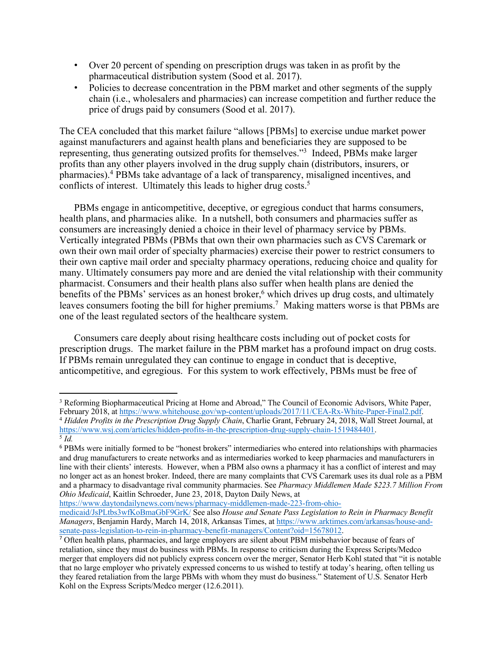- Over 20 percent of spending on prescription drugs was taken in as profit by the pharmaceutical distribution system (Sood et al. 2017).
- Policies to decrease concentration in the PBM market and other segments of the supply chain (i.e., wholesalers and pharmacies) can increase competition and further reduce the price of drugs paid by consumers (Sood et al. 2017).

The CEA concluded that this market failure "allows [PBMs] to exercise undue market power against manufacturers and against health plans and beneficiaries they are supposed to be representing, thus generating outsized profits for themselves."3 Indeed, PBMs make larger profits than any other players involved in the drug supply chain (distributors, insurers, or pharmacies).4 PBMs take advantage of a lack of transparency, misaligned incentives, and conflicts of interest. Ultimately this leads to higher drug costs.<sup>5</sup>

PBMs engage in anticompetitive, deceptive, or egregious conduct that harms consumers, health plans, and pharmacies alike. In a nutshell, both consumers and pharmacies suffer as consumers are increasingly denied a choice in their level of pharmacy service by PBMs. Vertically integrated PBMs (PBMs that own their own pharmacies such as CVS Caremark or own their own mail order of specialty pharmacies) exercise their power to restrict consumers to their own captive mail order and specialty pharmacy operations, reducing choice and quality for many. Ultimately consumers pay more and are denied the vital relationship with their community pharmacist. Consumers and their health plans also suffer when health plans are denied the benefits of the PBMs' services as an honest broker,<sup>6</sup> which drives up drug costs, and ultimately leaves consumers footing the bill for higher premiums.<sup>7</sup> Making matters worse is that PBMs are one of the least regulated sectors of the healthcare system.

Consumers care deeply about rising healthcare costs including out of pocket costs for prescription drugs. The market failure in the PBM market has a profound impact on drug costs. If PBMs remain unregulated they can continue to engage in conduct that is deceptive, anticompetitive, and egregious. For this system to work effectively, PBMs must be free of

https://www.daytondailynews.com/news/pharmacy-middlemen-made-223-from-ohio-

 $\overline{a}$ 

<sup>&</sup>lt;sup>3</sup> Reforming Biopharmaceutical Pricing at Home and Abroad," The Council of Economic Advisors, White Paper, February 2018, at https://www.whitehouse.gov/wp-content/uploads/2017/11/CEA-Rx-White-Paper-Final2.pdf. <sup>4</sup> Hidden Profits in the Prescription Drug Supply Chain, Charlie Grant, February 24, 2018, Wall Street Journal, at https://www.wsj.com/articles/hidden-profits-in-the-prescription-drug-supply-chain-1519484401. 5 *Id.*

<sup>6</sup> PBMs were initially formed to be "honest brokers" intermediaries who entered into relationships with pharmacies and drug manufacturers to create networks and as intermediaries worked to keep pharmacies and manufacturers in line with their clients' interests. However, when a PBM also owns a pharmacy it has a conflict of interest and may no longer act as an honest broker. Indeed, there are many complaints that CVS Caremark uses its dual role as a PBM and a pharmacy to disadvantage rival community pharmacies. See *Pharmacy Middlemen Made \$223.7 Million From Ohio Medicaid*, Kaitlin Schroeder, June 23, 2018, Dayton Daily News, at

medicaid/JsPLtbs3wfKoBmaGbF9GrK/ See also *House and Senate Pass Legislation to Rein in Pharmacy Benefit Managers*, Benjamin Hardy, March 14, 2018, Arkansas Times, at https://www.arktimes.com/arkansas/house-andsenate-pass-legislation-to-rein-in-pharmacy-benefit-managers/Content?oid=15678012.

<sup>7</sup> Often health plans, pharmacies, and large employers are silent about PBM misbehavior because of fears of retaliation, since they must do business with PBMs. In response to criticism during the Express Scripts/Medco merger that employers did not publicly express concern over the merger, Senator Herb Kohl stated that "it is notable that no large employer who privately expressed concerns to us wished to testify at today's hearing, often telling us they feared retaliation from the large PBMs with whom they must do business." Statement of U.S. Senator Herb Kohl on the Express Scripts/Medco merger (12.6.2011).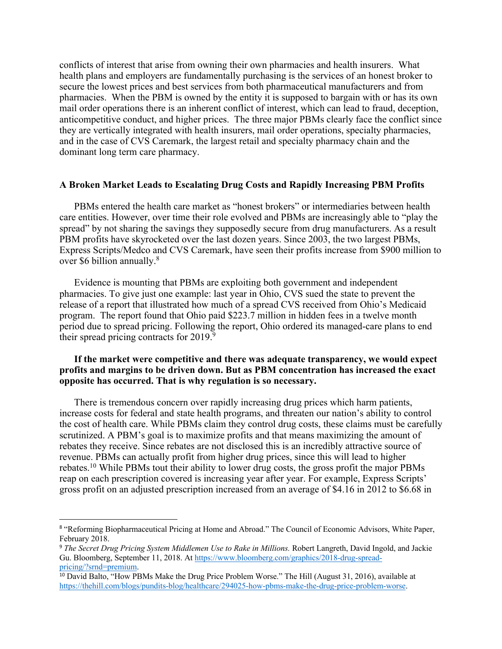conflicts of interest that arise from owning their own pharmacies and health insurers. What health plans and employers are fundamentally purchasing is the services of an honest broker to secure the lowest prices and best services from both pharmaceutical manufacturers and from pharmacies. When the PBM is owned by the entity it is supposed to bargain with or has its own mail order operations there is an inherent conflict of interest, which can lead to fraud, deception, anticompetitive conduct, and higher prices. The three major PBMs clearly face the conflict since they are vertically integrated with health insurers, mail order operations, specialty pharmacies, and in the case of CVS Caremark, the largest retail and specialty pharmacy chain and the dominant long term care pharmacy.

#### **A Broken Market Leads to Escalating Drug Costs and Rapidly Increasing PBM Profits**

PBMs entered the health care market as "honest brokers" or intermediaries between health care entities. However, over time their role evolved and PBMs are increasingly able to "play the spread" by not sharing the savings they supposedly secure from drug manufacturers. As a result PBM profits have skyrocketed over the last dozen years. Since 2003, the two largest PBMs, Express Scripts/Medco and CVS Caremark, have seen their profits increase from \$900 million to over \$6 billion annually.<sup>8</sup>

Evidence is mounting that PBMs are exploiting both government and independent pharmacies. To give just one example: last year in Ohio, CVS sued the state to prevent the release of a report that illustrated how much of a spread CVS received from Ohio's Medicaid program. The report found that Ohio paid \$223.7 million in hidden fees in a twelve month period due to spread pricing. Following the report, Ohio ordered its managed-care plans to end their spread pricing contracts for 2019.<sup>9</sup>

## **If the market were competitive and there was adequate transparency, we would expect profits and margins to be driven down. But as PBM concentration has increased the exact opposite has occurred. That is why regulation is so necessary.**

There is tremendous concern over rapidly increasing drug prices which harm patients, increase costs for federal and state health programs, and threaten our nation's ability to control the cost of health care. While PBMs claim they control drug costs, these claims must be carefully scrutinized. A PBM's goal is to maximize profits and that means maximizing the amount of rebates they receive. Since rebates are not disclosed this is an incredibly attractive source of revenue. PBMs can actually profit from higher drug prices, since this will lead to higher rebates.10 While PBMs tout their ability to lower drug costs, the gross profit the major PBMs reap on each prescription covered is increasing year after year. For example, Express Scripts' gross profit on an adjusted prescription increased from an average of \$4.16 in 2012 to \$6.68 in

<sup>&</sup>lt;sup>8</sup> "Reforming Biopharmaceutical Pricing at Home and Abroad." The Council of Economic Advisors, White Paper, February 2018.

<sup>&</sup>lt;sup>9</sup> The Secret Drug Pricing System Middlemen Use to Rake in Millions. Robert Langreth, David Ingold, and Jackie Gu. Bloomberg, September 11, 2018. At https://www.bloomberg.com/graphics/2018-drug-spreadpricing/?srnd=premium.

<sup>10</sup> David Balto, "How PBMs Make the Drug Price Problem Worse." The Hill (August 31, 2016), available at https://thehill.com/blogs/pundits-blog/healthcare/294025-how-pbms-make-the-drug-price-problem-worse.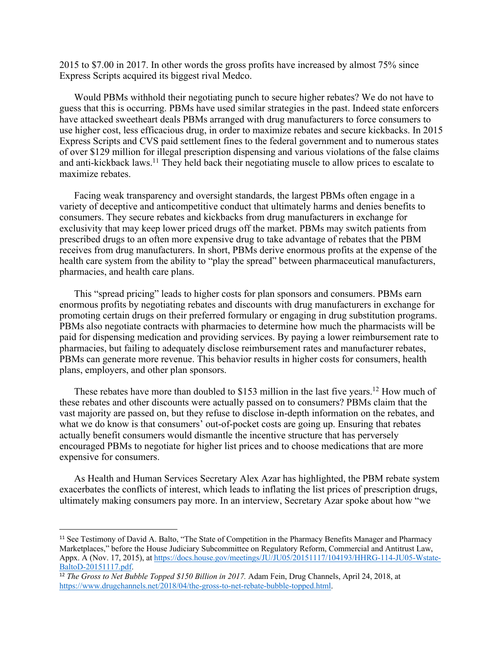2015 to \$7.00 in 2017. In other words the gross profits have increased by almost 75% since Express Scripts acquired its biggest rival Medco.

Would PBMs withhold their negotiating punch to secure higher rebates? We do not have to guess that this is occurring. PBMs have used similar strategies in the past. Indeed state enforcers have attacked sweetheart deals PBMs arranged with drug manufacturers to force consumers to use higher cost, less efficacious drug, in order to maximize rebates and secure kickbacks. In 2015 Express Scripts and CVS paid settlement fines to the federal government and to numerous states of over \$129 million for illegal prescription dispensing and various violations of the false claims and anti-kickback laws.11 They held back their negotiating muscle to allow prices to escalate to maximize rebates.

Facing weak transparency and oversight standards, the largest PBMs often engage in a variety of deceptive and anticompetitive conduct that ultimately harms and denies benefits to consumers. They secure rebates and kickbacks from drug manufacturers in exchange for exclusivity that may keep lower priced drugs off the market. PBMs may switch patients from prescribed drugs to an often more expensive drug to take advantage of rebates that the PBM receives from drug manufacturers. In short, PBMs derive enormous profits at the expense of the health care system from the ability to "play the spread" between pharmaceutical manufacturers, pharmacies, and health care plans.

This "spread pricing" leads to higher costs for plan sponsors and consumers. PBMs earn enormous profits by negotiating rebates and discounts with drug manufacturers in exchange for promoting certain drugs on their preferred formulary or engaging in drug substitution programs. PBMs also negotiate contracts with pharmacies to determine how much the pharmacists will be paid for dispensing medication and providing services. By paying a lower reimbursement rate to pharmacies, but failing to adequately disclose reimbursement rates and manufacturer rebates, PBMs can generate more revenue. This behavior results in higher costs for consumers, health plans, employers, and other plan sponsors.

These rebates have more than doubled to \$153 million in the last five years.<sup>12</sup> How much of these rebates and other discounts were actually passed on to consumers? PBMs claim that the vast majority are passed on, but they refuse to disclose in-depth information on the rebates, and what we do know is that consumers' out-of-pocket costs are going up. Ensuring that rebates actually benefit consumers would dismantle the incentive structure that has perversely encouraged PBMs to negotiate for higher list prices and to choose medications that are more expensive for consumers.

As Health and Human Services Secretary Alex Azar has highlighted, the PBM rebate system exacerbates the conflicts of interest, which leads to inflating the list prices of prescription drugs, ultimately making consumers pay more. In an interview, Secretary Azar spoke about how "we

<sup>&</sup>lt;sup>11</sup> See Testimony of David A. Balto, "The State of Competition in the Pharmacy Benefits Manager and Pharmacy Marketplaces," before the House Judiciary Subcommittee on Regulatory Reform, Commercial and Antitrust Law, Appx. A (Nov. 17, 2015), at https://docs.house.gov/meetings/JU/JU05/20151117/104193/HHRG-114-JU05-Wstate-BaltoD-20151117.pdf.

<sup>12</sup> *The Gross to Net Bubble Topped \$150 Billion in 2017.* Adam Fein, Drug Channels, April 24, 2018, at https://www.drugchannels.net/2018/04/the-gross-to-net-rebate-bubble-topped.html.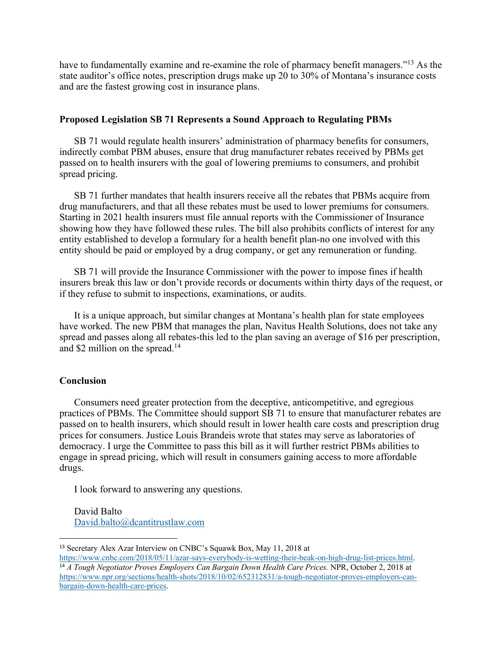have to fundamentally examine and re-examine the role of pharmacy benefit managers."<sup>13</sup> As the state auditor's office notes, prescription drugs make up 20 to 30% of Montana's insurance costs and are the fastest growing cost in insurance plans.

### **Proposed Legislation SB 71 Represents a Sound Approach to Regulating PBMs**

SB 71 would regulate health insurers' administration of pharmacy benefits for consumers, indirectly combat PBM abuses, ensure that drug manufacturer rebates received by PBMs get passed on to health insurers with the goal of lowering premiums to consumers, and prohibit spread pricing.

SB 71 further mandates that health insurers receive all the rebates that PBMs acquire from drug manufacturers, and that all these rebates must be used to lower premiums for consumers. Starting in 2021 health insurers must file annual reports with the Commissioner of Insurance showing how they have followed these rules. The bill also prohibits conflicts of interest for any entity established to develop a formulary for a health benefit plan-no one involved with this entity should be paid or employed by a drug company, or get any remuneration or funding.

SB 71 will provide the Insurance Commissioner with the power to impose fines if health insurers break this law or don't provide records or documents within thirty days of the request, or if they refuse to submit to inspections, examinations, or audits.

It is a unique approach, but similar changes at Montana's health plan for state employees have worked. The new PBM that manages the plan, Navitus Health Solutions, does not take any spread and passes along all rebates-this led to the plan saving an average of \$16 per prescription, and \$2 million on the spread.<sup>14</sup>

#### **Conclusion**

Consumers need greater protection from the deceptive, anticompetitive, and egregious practices of PBMs. The Committee should support SB 71 to ensure that manufacturer rebates are passed on to health insurers, which should result in lower health care costs and prescription drug prices for consumers. Justice Louis Brandeis wrote that states may serve as laboratories of democracy. I urge the Committee to pass this bill as it will further restrict PBMs abilities to engage in spread pricing, which will result in consumers gaining access to more affordable drugs.

I look forward to answering any questions.

David Balto David.balto@dcantitrustlaw.com

13 Secretary Alex Azar Interview on CNBC's Squawk Box, May 11, 2018 at

https://www.cnbc.com/2018/05/11/azar-says-everybody-is-wetting-their-beak-on-high-drug-list-prices.html. <sup>14</sup> *A Tough Negotiator Proves Employers Can Bargain Down Health Care Prices.* NPR, October 2, 2018 at https://www.npr.org/sections/health-shots/2018/10/02/652312831/a-tough-negotiator-proves-employers-canbargain-down-health-care-prices.